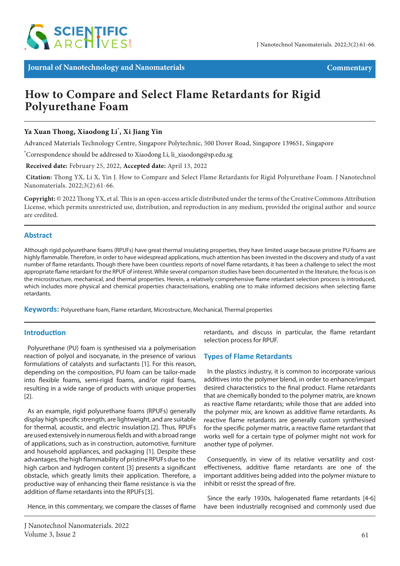

**Journal of Nanotechnology and Nanomaterials Commentary**

# **How to Compare and Select Flame Retardants for Rigid Polyurethane Foam**

# **Ya Xuan Thong, Xiaodong Li\* , Xi Jiang Yin**

Advanced Materials Technology Centre, Singapore Polytechnic, 500 Dover Road, Singapore 139651, Singapore

**\*** Correspondence should be addressed to Xiaodong Li, li\_xiaodong@sp.edu.sg

 **Received date:** February 25, 2022, **Accepted date:** April 13, 2022

**Citation:** Thong YX, Li X, Yin J. How to Compare and Select Flame Retardants for Rigid Polyurethane Foam. J Nanotechnol Nanomaterials. 2022;3(2):61-66.

**Copyright:** © 2022 Thong YX, et al. This is an open-access article distributed under the terms of the Creative Commons Attribution License, which permits unrestricted use, distribution, and reproduction in any medium, provided the original author and source are credited.

# **Abstract**

Although rigid polyurethane foams (RPUFs) have great thermal insulating properties, they have limited usage because pristine PU foams are highly flammable. Therefore, in order to have widespread applications, much attention has been invested in the discovery and study of a vast number of flame retardants. Though there have been countless reports of novel flame retardants, it has been a challenge to select the most appropriate flame retardant for the RPUF of interest. While several comparison studies have been documented in the literature, the focus is on the microstructure, mechanical, and thermal properties. Herein, a relatively comprehensive flame retardant selection process is introduced, which includes more physical and chemical properties characterisations, enabling one to make informed decisions when selecting flame retardants.

**Keywords:** Polyurethane foam, Flame retardant, Microstructure, Mechanical, Thermal properties

# **Introduction**

Polyurethane (PU) foam is synthesised via a polymerisation reaction of polyol and isocyanate, in the presence of various formulations of catalysts and surfactants [1]. For this reason, depending on the composition, PU foam can be tailor-made into flexible foams, semi-rigid foams, and/or rigid foams, resulting in a wide range of products with unique properties [2].

As an example, rigid polyurethane foams (RPUFs) generally display high specific strength, are lightweight, and are suitable for thermal, acoustic, and electric insulation [2]. Thus, RPUFs are used extensively in numerous fields and with a broad range of applications, such as in construction, automotive, furniture and household appliances, and packaging [1]. Despite these advantages, the high flammability of pristine RPUFs due to the high carbon and hydrogen content [3] presents a significant obstacle, which greatly limits their application. Therefore, a productive way of enhancing their flame resistance is via the addition of flame retardants into the RPUFs[3].

Hence, in this commentary, we compare the classes of flame

retardants, and discuss in particular, the flame retardant selection process for RPUF.

# **Types of Flame Retardants**

In the plastics industry, it is common to incorporate various additives into the polymer blend, in order to enhance/impart desired characteristics to the final product. Flame retardants that are chemically bonded to the polymer matrix, are known as reactive flame retardants; while those that are added into the polymer mix, are known as additive flame retardants. As reactive flame retardants are generally custom synthesised for the specific polymer matrix, a reactive flame retardant that works well for a certain type of polymer might not work for another type of polymer.

Consequently, in view of its relative versatility and costeffectiveness, additive flame retardants are one of the important additives being added into the polymer mixture to inhibit or resist the spread of fire.

Since the early 1930s, halogenated flame retardants [4-6] have been industrially recognised and commonly used due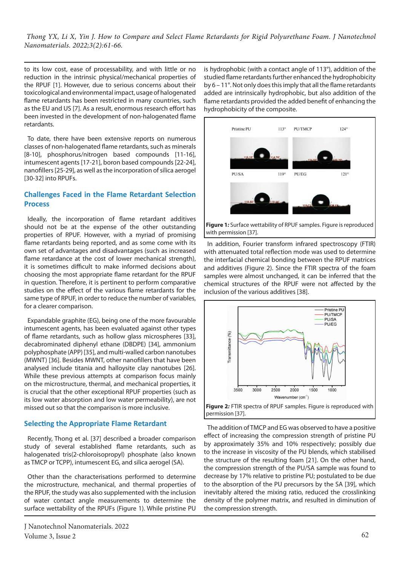to its low cost, ease of processability, and with little or no reduction in the intrinsic physical/mechanical properties of the RPUF [1]. However, due to serious concerns about their toxicological and environmental impact, usage of halogenated flame retardants has been restricted in many countries, such as the EU and US [7]. As a result, enormous research effort has been invested in the development of non-halogenated flame retardants.

To date, there have been extensive reports on numerous classes of non-halogenated flame retardants, such as minerals [8-10], phosphorus/nitrogen based compounds [11-16], intumescent agents [17-21], boron based compounds [22-24], nanofillers [25-29], as well as the incorporation of silica aerogel [30-32] into RPUFs.

# **Challenges Faced in the Flame Retardant Selection Process**

Ideally, the incorporation of flame retardant additives should not be at the expense of the other outstanding properties of RPUF. However, with a myriad of promising flame retardants being reported, and as some come with its own set of advantages and disadvantages (such as increased flame retardance at the cost of lower mechanical strength), it is sometimes difficult to make informed decisions about choosing the most appropriate flame retardant for the RPUF in question. Therefore, it is pertinent to perform comparative studies on the effect of the various flame retardants for the same type of RPUF, in order to reduce the number of variables, for a clearer comparison.

Expandable graphite (EG), being one of the more favourable intumescent agents, has been evaluated against other types of flame retardants, such as hollow glass microspheres [33], decabrominated diphenyl ethane (DBDPE) [34], ammonium polyphosphate (APP) [35], and multi-walled carbon nanotubes (MWNT) [36]. Besides MWNT, other nanofillers that have been analysed include titania and halloysite clay nanotubes [26]. While these previous attempts at comparison focus mainly on the microstructure, thermal, and mechanical properties, it is crucial that the other exceptional RPUF properties (such as its low water absorption and low water permeability), are not missed out so that the comparison is more inclusive.

# **Selecting the Appropriate Flame Retardant**

Recently, Thong et al. [37] described a broader comparison study of several established flame retardants, such as halogenated tris(2-chloroisopropyl) phosphate (also known as TMCP or TCPP), intumescent EG, and silica aerogel (SA).

Other than the characterisations performed to determine the microstructure, mechanical, and thermal properties of the RPUF, the study was also supplemented with the inclusion of water contact angle measurements to determine the surface wettability of the RPUFs (Figure 1). While pristine PU

is hydrophobic (with a contact angle of 113°), addition of the studied flame retardants further enhanced the hydrophobicity by 6 – 11°. Not only does this imply that all the flame retardants added are intrinsically hydrophobic, but also addition of the flame retardants provided the added benefit of enhancing the hydrophobicity of the composite.



**Figure 1***:* Surface wettability of RPUF samples. Figure is reproduced with permission [37].

In addition, Fourier transform infrared spectroscopy (FTIR) with attenuated total reflection mode was used to determine the interfacial chemical bonding between the RPUF matrices and additives (Figure 2). Since the FTIR spectra of the foam samples were almost unchanged, it can be inferred that the chemical structures of the RPUF were not affected by the inclusion of the various additives [38].



The addition of TMCP and EG was observed to have a positive effect of increasing the compression strength of pristine PU by approximately 35% and 10% respectively; possibly due to the increase in viscosity of the PU blends, which stabilised the structure of the resulting foam [21]. On the other hand, the compression strength of the PU/SA sample was found to decrease by 17% relative to pristine PU; postulated to be due to the absorption of the PU precursors by the SA [39], which inevitably altered the mixing ratio, reduced the crosslinking density of the polymer matrix, and resulted in diminution of the compression strength.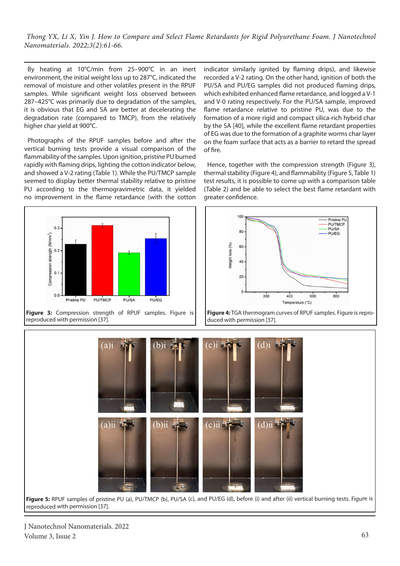By heating at 10°C/min from 25–900°C in an inert environment, the initial weight loss up to 287°C, indicated the removal of moisture and other volatiles present in the RPUF samples. While significant weight loss observed between 287–425°C was primarily due to degradation of the samples, it is obvious that EG and SA are better at decelerating the degradation rate (compared to TMCP), from the relatively higher char yield at 900°C.

Photographs of the RPUF samples before and after the vertical burning tests provide a visual comparison of the flammability of the samples. Upon ignition, pristine PU burned rapidly with flaming drips, lighting the cotton indicator below, and showed a V-2 rating (Table 1). While the PU/TMCP sample seemed to display better thermal stability relative to pristine PU according to the thermogravimetric data, it yielded no improvement in the flame retardance (with the cotton

indicator similarly ignited by flaming drips), and likewise recorded a V-2 rating. On the other hand, ignition of both the PU/SA and PU/EG samples did not produced flaming drips, which exhibited enhanced flame retardance, and logged a V-1 and V-0 rating respectively. For the PU/SA sample, improved flame retardance relative to pristine PU, was due to the formation of a more rigid and compact silica-rich hybrid char by the SA [40], while the excellent flame retardant properties of EG was due to the formation of a graphite worms char layer on the foam surface that acts as a barrier to retard the spread of fire.

Hence, together with the compression strength (Figure 3), thermal stability (Figure 4), and flammability (Figure 5, Table 1) test results, it is possible to come up with a comparison table (Table 2) and be able to select the best flame retardant with greater confidence.

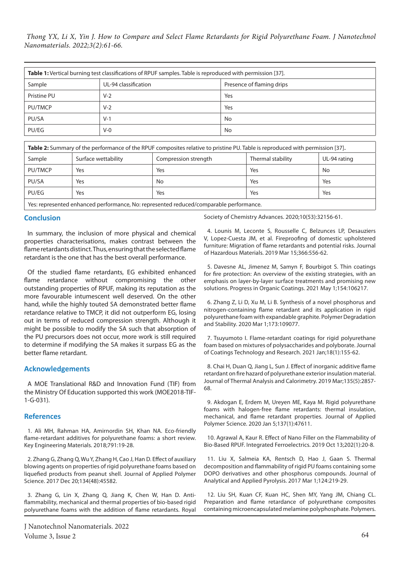| Table 1: Vertical burning test classifications of RPUF samples. Table is reproduced with permission [37]. |                      |                           |  |  |
|-----------------------------------------------------------------------------------------------------------|----------------------|---------------------------|--|--|
| Sample                                                                                                    | UL-94 classification | Presence of flaming drips |  |  |
| Pristine PU                                                                                               | $V-2$                | Yes                       |  |  |
| PU/TMCP                                                                                                   | $V-2$                | Yes                       |  |  |
| PU/SA                                                                                                     | $V-1$                | No                        |  |  |
| PU/EG                                                                                                     | $V - 0$              | No                        |  |  |

| Table 2: Summary of the performance of the RPUF composites relative to pristine PU. Table is reproduced with permission [37]. |                     |                      |                   |              |  |
|-------------------------------------------------------------------------------------------------------------------------------|---------------------|----------------------|-------------------|--------------|--|
| Sample                                                                                                                        | Surface wettability | Compression strength | Thermal stability | UL-94 rating |  |
| PU/TMCP                                                                                                                       | Yes                 | Yes                  | Yes               | No           |  |
| PU/SA                                                                                                                         | Yes                 | <b>No</b>            | Yes               | Yes          |  |
| PU/EG                                                                                                                         | Yes                 | Yes                  | Yes               | Yes          |  |
| Voc: roprocontod ophancod porformanco. No: roprocontod roducod/comparable porformanco                                         |                     |                      |                   |              |  |

Yes: represented enhanced performance, No: represented reduced/comparable performance.

#### **Conclusion**

In summary, the inclusion of more physical and chemical properties characterisations, makes contrast between the flame retardants distinct. Thus, ensuring that the selected flame retardant is the one that has the best overall performance.

Of the studied flame retardants, EG exhibited enhanced flame retardance without compromising the other outstanding properties of RPUF, making its reputation as the more favourable intumescent well deserved. On the other hand, while the highly touted SA demonstrated better flame retardance relative to TMCP, it did not outperform EG, losing out in terms of reduced compression strength. Although it might be possible to modify the SA such that absorption of the PU precursors does not occur, more work is still required to determine if modifying the SA makes it surpass EG as the better flame retardant.

# **Acknowledgements**

A MOE Translational R&D and Innovation Fund (TIF) from the Ministry Of Education supported this work (MOE2018-TIF-1-G-031).

#### **References**

1. Ali MH, Rahman HA, Amirnordin SH, Khan NA. Eco-friendly flame-retardant additives for polyurethane foams: a short review. Key Engineering Materials. 2018;791:19-28.

2. Zhang G, Zhang Q, Wu Y, Zhang H, Cao J, Han D. Effect of auxiliary blowing agents on properties of rigid polyurethane foams based on liquefied products from peanut shell. Journal of Applied Polymer Science. 2017 Dec 20;134(48):45582.

3. Zhang G, Lin X, Zhang Q, Jiang K, Chen W, Han D. Antiflammability, mechanical and thermal properties of bio-based rigid polyurethane foams with the addition of flame retardants. Royal

Society of Chemistry Advances. 2020;10(53):32156-61.

4. Lounis M, Leconte S, Rousselle C, Belzunces LP, Desauziers V, Lopez-Cuesta JM, et al. Fireproofing of domestic upholstered furniture: Migration of flame retardants and potential risks. Journal of Hazardous Materials. 2019 Mar 15;366:556-62.

5. Davesne AL, Jimenez M, Samyn F, Bourbigot S. Thin coatings for fire protection: An overview of the existing strategies, with an emphasis on layer-by-layer surface treatments and promising new solutions. Progress in Organic Coatings. 2021 May 1;154:106217.

6. Zhang Z, Li D, Xu M, Li B. Synthesis of a novel phosphorus and nitrogen-containing flame retardant and its application in rigid polyurethane foam with expandable graphite. Polymer Degradation and Stability. 2020 Mar 1;173:109077.

7. Tsuyumoto I. Flame-retardant coatings for rigid polyurethane foam based on mixtures of polysaccharides and polyborate. Journal of Coatings Technology and Research. 2021 Jan;18(1):155-62.

8. Chai H, Duan Q, Jiang L, Sun J. Effect of inorganic additive flame retardant on fire hazard of polyurethane exterior insulation material. Journal of Thermal Analysis and Calorimetry. 2019 Mar;135(5):2857- 68.

9. Akdogan E, Erdem M, Ureyen ME, Kaya M. Rigid polyurethane foams with halogen‐free flame retardants: thermal insulation, mechanical, and flame retardant properties. Journal of Applied Polymer Science. 2020 Jan 5;137(1):47611.

10. Agrawal A, Kaur R. Effect of Nano Filler on the Flammability of Bio-Based RPUF. Integrated Ferroelectrics. 2019 Oct 13;202(1):20-8.

11. Liu X, Salmeia KA, Rentsch D, Hao J, Gaan S. Thermal decomposition and flammability of rigid PU foams containing some DOPO derivatives and other phosphorus compounds. Journal of Analytical and Applied Pyrolysis. 2017 Mar 1;124:219-29.

12. Liu SH, Kuan CF, Kuan HC, Shen MY, Yang JM, Chiang CL. Preparation and flame retardance of polyurethane composites containing microencapsulated melamine polyphosphate. Polymers.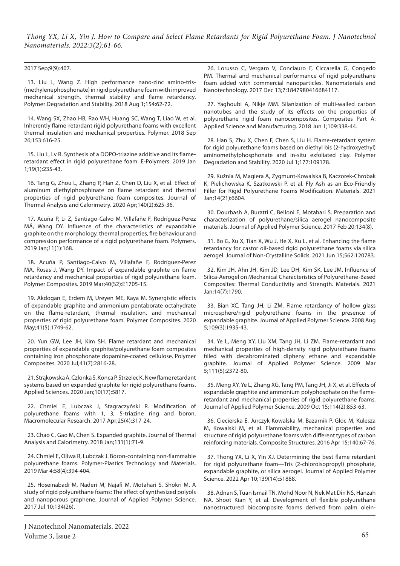#### 2017 Sep;9(9):407.

13. Liu L, Wang Z. High performance nano-zinc amino-tris- (methylenephosphonate) in rigid polyurethane foam with improved mechanical strength, thermal stability and flame retardancy. Polymer Degradation and Stability. 2018 Aug 1;154:62-72.

14. Wang SX, Zhao HB, Rao WH, Huang SC, Wang T, Liao W, et al. Inherently flame-retardant rigid polyurethane foams with excellent thermal insulation and mechanical properties. Polymer. 2018 Sep 26;153:616-25.

15. Liu L, Lv R. Synthesis of a DOPO-triazine additive and its flameretardant effect in rigid polyurethane foam. E-Polymers. 2019 Jan 1;19(1):235-43.

16. Tang G, Zhou L, Zhang P, Han Z, Chen D, Liu X, et al. Effect of aluminum diethylphosphinate on flame retardant and thermal properties of rigid polyurethane foam composites. Journal of Thermal Analysis and Calorimetry. 2020 Apr;140(2):625-36.

17. Acuña P, Li Z, Santiago-Calvo M, Villafañe F, Rodríguez-Perez MÁ, Wang DY. Influence of the characteristics of expandable graphite on the morphology, thermal properties, fire behaviour and compression performance of a rigid polyurethane foam. Polymers. 2019 Jan;11(1):168.

18. Acuña P, Santiago‐Calvo M, Villafañe F, Rodríguez‐Perez MA, Rosas J, Wang DY. Impact of expandable graphite on flame retardancy and mechanical properties of rigid polyurethane foam. Polymer Composites. 2019 Mar;40(S2):E1705-15.

19. Akdogan E, Erdem M, Ureyen ME, Kaya M. Synergistic effects of expandable graphite and ammonium pentaborate octahydrate on the flame‐retardant, thermal insulation, and mechanical properties of rigid polyurethane foam. Polymer Composites. 2020 May;41(5):1749-62.

20. Yun GW, Lee JH, Kim SH. Flame retardant and mechanical properties of expandable graphite/polyurethane foam composites containing iron phosphonate dopamine‐coated cellulose. Polymer Composites. 2020 Jul;41(7):2816-28.

21. Strąkowska A, Członka S, Konca P, Strzelec K. New flame retardant systems based on expanded graphite for rigid polyurethane foams. Applied Sciences. 2020 Jan;10(17):5817.

22. Chmiel E, Lubczak J, Stagraczyński R. Modification of polyurethane foams with 1, 3, 5-triazine ring and boron. Macromolecular Research. 2017 Apr;25(4):317-24.

23. Chao C, Gao M, Chen S. Expanded graphite. Journal of Thermal Analysis and Calorimetry. 2018 Jan;131(1):71-9.

24. Chmiel E, Oliwa R, Lubczak J. Boron-containing non-flammable polyurethane foams. Polymer-Plastics Technology and Materials. 2019 Mar 4;58(4):394-404.

25. Hoseinabadi M, Naderi M, Najafi M, Motahari S, Shokri M. A study of rigid polyurethane foams: The effect of synthesized polyols and nanoporous graphene. Journal of Applied Polymer Science. 2017 Jul 10;134(26).

26. Lorusso C, Vergaro V, Conciauro F, Ciccarella G, Congedo PM. Thermal and mechanical performance of rigid polyurethane foam added with commercial nanoparticles. Nanomaterials and Nanotechnology. 2017 Dec 13;7:1847980416684117.

27. Yaghoubi A, Nikje MM. Silanization of multi-walled carbon nanotubes and the study of its effects on the properties of polyurethane rigid foam nanocomposites. Composites Part A: Applied Science and Manufacturing. 2018 Jun 1;109:338-44.

28. Han S, Zhu X, Chen F, Chen S, Liu H. Flame-retardant system for rigid polyurethane foams based on diethyl bis (2-hydroxyethyl) aminomethylphosphonate and in-situ exfoliated clay. Polymer Degradation and Stability. 2020 Jul 1;177:109178.

29. Kuźnia M, Magiera A, Zygmunt-Kowalska B, Kaczorek-Chrobak K, Pielichowska K, Szatkowski P, et al. Fly Ash as an Eco-Friendly Filler for Rigid Polyurethane Foams Modification. Materials. 2021 Jan;14(21):6604.

30. Dourbash A, Buratti C, Belloni E, Motahari S. Preparation and characterization of polyurethane/silica aerogel nanocomposite materials. Journal of Applied Polymer Science. 2017 Feb 20;134(8).

31. Bo G, Xu X, Tian X, Wu J, He X, Xu L, et al. Enhancing the flame retardancy for castor oil-based rigid polyurethane foams via silica aerogel. Journal of Non-Crystalline Solids. 2021 Jun 15;562:120783.

32. Kim JH, Ahn JH, Kim JD, Lee DH, Kim SK, Lee JM. Influence of Silica-Aerogel on Mechanical Characteristics of Polyurethane-Based Composites: Thermal Conductivity and Strength. Materials. 2021 Jan;14(7):1790.

33. Bian XC, Tang JH, Li ZM. Flame retardancy of hollow glass microsphere/rigid polyurethane foams in the presence of expandable graphite. Journal of Applied Polymer Science. 2008 Aug 5;109(3):1935-43.

34. Ye L, Meng XY, Liu XM, Tang JH, Li ZM. Flame‐retardant and mechanical properties of high‐density rigid polyurethane foams filled with decabrominated dipheny ethane and expandable graphite. Journal of Applied Polymer Science. 2009 Mar 5;111(5):2372-80.

35. Meng XY, Ye L, Zhang XG, Tang PM, Tang JH, Ji X, et al. Effects of expandable graphite and ammonium polyphosphate on the flame‐ retardant and mechanical properties of rigid polyurethane foams. Journal of Applied Polymer Science. 2009 Oct 15;114(2):853-63.

36. Ciecierska E, Jurczyk-Kowalska M, Bazarnik P, Gloc M, Kulesza M, Kowalski M, et al. Flammability, mechanical properties and structure of rigid polyurethane foams with different types of carbon reinforcing materials. Composite Structures. 2016 Apr 15;140:67-76.

37. Thong YX, Li X, Yin XJ. Determining the best flame retardant for rigid polyurethane foam—Tris (2‐chloroisopropyl) phosphate, expandable graphite, or silica aerogel. Journal of Applied Polymer Science. 2022 Apr 10;139(14):51888.

38. Adnan S, Tuan Ismail TN, Mohd Noor N, Nek Mat Din NS, Hanzah NA, Shoot Kian Y, et al. Development of flexible polyurethane nanostructured biocomposite foams derived from palm olein-